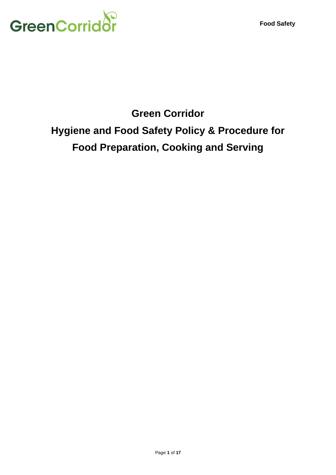

# **Green Corridor Hygiene and Food Safety Policy & Procedure for Food Preparation, Cooking and Serving**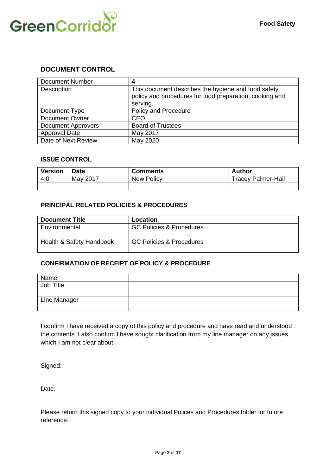

#### **DOCUMENT CONTROL**

| <b>Document Number</b>    |                                                                                                                            |
|---------------------------|----------------------------------------------------------------------------------------------------------------------------|
| Description               | This document describes the hygiene and food safety<br>policy and procedures for food preparation, cooking and<br>serving. |
| Document Type             | Policy and Procedure                                                                                                       |
| <b>Document Owner</b>     | <b>CEO</b>                                                                                                                 |
| <b>Document Approvers</b> | <b>Board of Trustees</b>                                                                                                   |
| Approval Date             | May 2017                                                                                                                   |
| Date of Next Review       | May 2020                                                                                                                   |

#### **ISSUE CONTROL**

| <b>Version</b> | <b>Date</b> | <b>Comments</b> | <b>Author</b>             |
|----------------|-------------|-----------------|---------------------------|
| 4.0            | May 2017    | New Policy      | <b>Tracey Palmer-Hall</b> |
|                |             |                 |                           |

#### **PRINCIPAL RELATED POLICIES & PROCEDURES**

| <b>Document Title</b>               | Location                            |
|-------------------------------------|-------------------------------------|
| Environmental                       | <b>GC Policies &amp; Procedures</b> |
| <b>Health &amp; Safety Handbook</b> | <b>GC Policies &amp; Procedures</b> |

#### **CONFIRMATION OF RECEIPT OF POLICY & PROCEDURE**

| Name         |  |
|--------------|--|
| Job Title    |  |
| Line Manager |  |

I confirm I have received a copy of this policy and procedure and have read and understood the contents. I also confirm I have sought clarification from my line manager on any issues which I am not clear about.

Signed:

Date:

Please return this signed copy to your individual Polices and Procedures folder for future reference.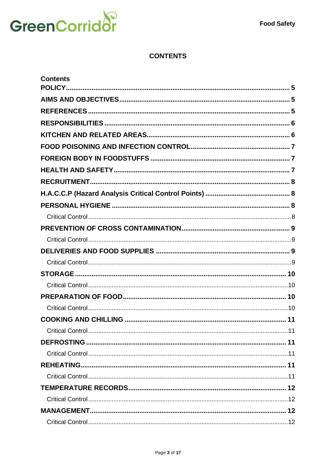

# **CONTENTS**

| <b>Contents</b> |  |
|-----------------|--|
|                 |  |
|                 |  |
|                 |  |
|                 |  |
|                 |  |
|                 |  |
|                 |  |
|                 |  |
|                 |  |
|                 |  |
|                 |  |
|                 |  |
|                 |  |
|                 |  |
|                 |  |
|                 |  |
|                 |  |
|                 |  |
|                 |  |
|                 |  |
|                 |  |
|                 |  |
|                 |  |
|                 |  |
|                 |  |
|                 |  |
|                 |  |
|                 |  |
|                 |  |
|                 |  |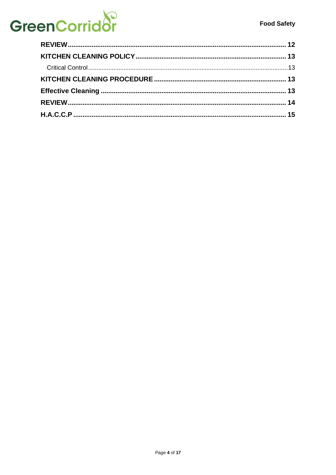# **GreenCorridor**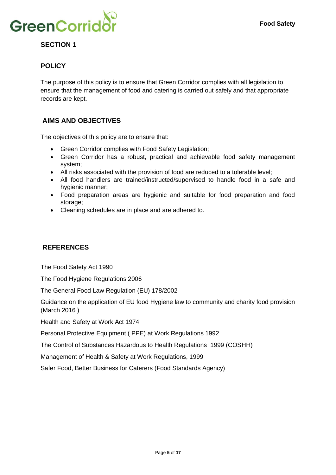

# **SECTION 1**

# <span id="page-4-0"></span>**POLICY**

The purpose of this policy is to ensure that Green Corridor complies with all legislation to ensure that the management of food and catering is carried out safely and that appropriate records are kept.

### <span id="page-4-1"></span>**AIMS AND OBJECTIVES**

The objectives of this policy are to ensure that:

- Green Corridor complies with Food Safety Legislation;
- Green Corridor has a robust, practical and achievable food safety management system;
- All risks associated with the provision of food are reduced to a tolerable level;
- All food handlers are trained/instructed/supervised to handle food in a safe and hygienic manner;
- Food preparation areas are hygienic and suitable for food preparation and food storage;
- Cleaning schedules are in place and are adhered to.

#### <span id="page-4-2"></span>**REFERENCES**

The Food Safety Act 1990

The Food Hygiene Regulations 2006

The General Food Law Regulation (EU) 178/2002

Guidance on the application of EU food Hygiene law to community and charity food provision (March 2016 )

Health and Safety at Work Act 1974

Personal Protective Equipment ( PPE) at Work Regulations 1992

The Control of Substances Hazardous to Health Regulations 1999 (COSHH)

Management of Health & Safety at Work Regulations, 1999

Safer Food, Better Business for Caterers (Food Standards Agency)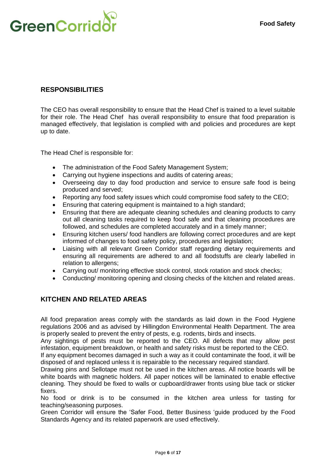

### <span id="page-5-0"></span>**RESPONSIBILITIES**

The CEO has overall responsibility to ensure that the Head Chef is trained to a level suitable for their role. The Head Chef has overall responsibility to ensure that food preparation is managed effectively, that legislation is complied with and policies and procedures are kept up to date.

The Head Chef is responsible for:

- The administration of the Food Safety Management System;
- Carrying out hygiene inspections and audits of catering areas;
- Overseeing day to day food production and service to ensure safe food is being produced and served;
- Reporting any food safety issues which could compromise food safety to the CEO;
- Ensuring that catering equipment is maintained to a high standard;
- Ensuring that there are adequate cleaning schedules and cleaning products to carry out all cleaning tasks required to keep food safe and that cleaning procedures are followed, and schedules are completed accurately and in a timely manner;
- Ensuring kitchen users/ food handlers are following correct procedures and are kept informed of changes to food safety policy, procedures and legislation;
- Liaising with all relevant Green Corridor staff regarding dietary requirements and ensuring all requirements are adhered to and all foodstuffs are clearly labelled in relation to allergens:
- Carrying out/ monitoring effective stock control, stock rotation and stock checks;
- Conducting/ monitoring opening and closing checks of the kitchen and related areas.

#### <span id="page-5-1"></span>**KITCHEN AND RELATED AREAS**

All food preparation areas comply with the standards as laid down in the Food Hygiene regulations 2006 and as advised by Hillingdon Environmental Health Department. The area is properly sealed to prevent the entry of pests, e.g. rodents, birds and insects.

Any sightings of pests must be reported to the CEO. All defects that may allow pest infestation, equipment breakdown, or health and safety risks must be reported to the CEO.

If any equipment becomes damaged in such a way as it could contaminate the food, it will be disposed of and replaced unless it is repairable to the necessary required standard.

Drawing pins and Sellotape must not be used in the kitchen areas. All notice boards will be white boards with magnetic holders. All paper notices will be laminated to enable effective cleaning. They should be fixed to walls or cupboard/drawer fronts using blue tack or sticker fixers.

No food or drink is to be consumed in the kitchen area unless for tasting for teaching/seasoning purposes.

Green Corridor will ensure the 'Safer Food, Better Business 'guide produced by the Food Standards Agency and its related paperwork are used effectively.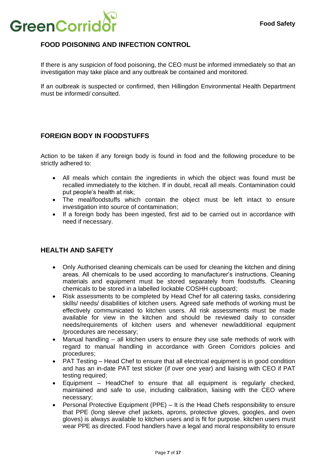

# <span id="page-6-0"></span>**FOOD POISONING AND INFECTION CONTROL**

If there is any suspicion of food poisoning, the CEO must be informed immediately so that an investigation may take place and any outbreak be contained and monitored.

If an outbreak is suspected or confirmed, then Hillingdon Environmental Health Department must be informed/ consulted.

# <span id="page-6-1"></span>**FOREIGN BODY IN FOODSTUFFS**

Action to be taken if any foreign body is found in food and the following procedure to be strictly adhered to:

- All meals which contain the ingredients in which the object was found must be recalled immediately to the kitchen. If in doubt, recall all meals. Contamination could put people's health at risk;
- The meal/foodstuffs which contain the object must be left intact to ensure investigation into source of contamination;
- If a foreign body has been ingested, first aid to be carried out in accordance with need if necessary.

#### <span id="page-6-2"></span>**HEALTH AND SAFETY**

- Only Authorised cleaning chemicals can be used for cleaning the kitchen and dining areas. All chemicals to be used according to manufacturer's instructions. Cleaning materials and equipment must be stored separately from foodstuffs. Cleaning chemicals to be stored in a labelled lockable COSHH cupboard;
- Risk assessments to be completed by Head Chef for all catering tasks, considering skills/ needs/ disabilities of kitchen users. Agreed safe methods of working must be effectively communicated to kitchen users. All risk assessments must be made available for view in the kitchen and should be reviewed daily to consider needs/requirements of kitchen users and whenever new/additional equipment /procedures are necessary;
- Manual handling all kitchen users to ensure they use safe methods of work with regard to manual handling in accordance with Green Corridors policies and procedures;
- PAT Testing Head Chef to ensure that all electrical equipment is in good condition and has an in-date PAT test sticker (if over one year) and liaising with CEO if PAT testing required;
- Equipment HeadChef to ensure that all equipment is regularly checked, maintained and safe to use, including calibration, liaising with the CEO where necessary;
- Personal Protective Equipment (PPE) It is the Head Chefs responsibility to ensure that PPE (long sleeve chef jackets, aprons, protective gloves, googles, and oven gloves) is always available to kitchen users and is fit for purpose. kitchen users must wear PPE as directed. Food handlers have a legal and moral responsibility to ensure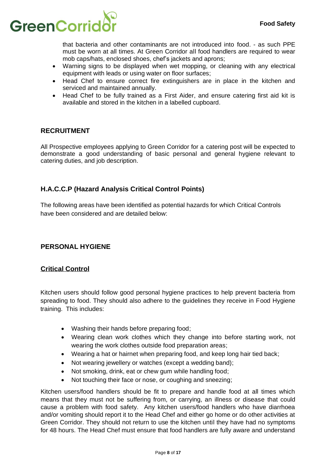

that bacteria and other contaminants are not introduced into food. - as such PPE must be worn at all times. At Green Corridor all food handlers are required to wear mob caps/hats, enclosed shoes, chef's jackets and aprons;

- Warning signs to be displayed when wet mopping, or cleaning with any electrical equipment with leads or using water on floor surfaces;
- Head Chef to ensure correct fire extinguishers are in place in the kitchen and serviced and maintained annually.
- Head Chef to be fully trained as a First Aider, and ensure catering first aid kit is available and stored in the kitchen in a labelled cupboard.

#### <span id="page-7-0"></span>**RECRUITMENT**

All Prospective employees applying to Green Corridor for a catering post will be expected to demonstrate a good understanding of basic personal and general hygiene relevant to catering duties, and job description.

### <span id="page-7-1"></span>**H.A.C.C.P (Hazard Analysis Critical Control Points)**

The following areas have been identified as potential hazards for which Critical Controls have been considered and are detailed below:

#### <span id="page-7-2"></span>**PERSONAL HYGIENE**

#### <span id="page-7-3"></span>**Critical Control**

Kitchen users should follow good personal hygiene practices to help prevent bacteria from spreading to food. They should also adhere to the guidelines they receive in Food Hygiene training. This includes:

- Washing their hands before preparing food;
- Wearing clean work clothes which they change into before starting work, not wearing the work clothes outside food preparation areas;
- Wearing a hat or hairnet when preparing food, and keep long hair tied back;
- Not wearing jewellery or watches (except a wedding band);
- Not smoking, drink, eat or chew gum while handling food;
- Not touching their face or nose, or coughing and sneezing;

Kitchen users/food handlers should be fit to prepare and handle food at all times which means that they must not be suffering from, or carrying, an illness or disease that could cause a problem with food safety. Any kitchen users/food handlers who have diarrhoea and/or vomiting should report it to the Head Chef and either go home or do other activities at Green Corridor. They should not return to use the kitchen until they have had no symptoms for 48 hours. The Head Chef must ensure that food handlers are fully aware and understand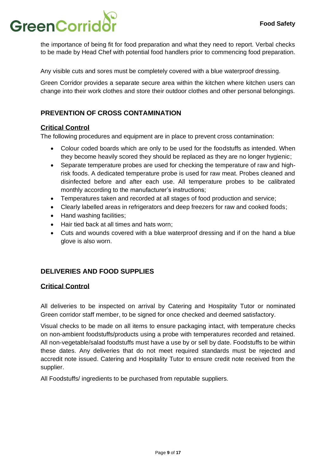# **GreenCorrid**

the importance of being fit for food preparation and what they need to report. Verbal checks to be made by Head Chef with potential food handlers prior to commencing food preparation.

Any visible cuts and sores must be completely covered with a blue waterproof dressing.

Green Corridor provides a separate secure area within the kitchen where kitchen users can change into their work clothes and store their outdoor clothes and other personal belongings.

# <span id="page-8-0"></span>**PREVENTION OF CROSS CONTAMINATION**

#### <span id="page-8-1"></span>**Critical Control**

The following procedures and equipment are in place to prevent cross contamination:

- Colour coded boards which are only to be used for the foodstuffs as intended. When they become heavily scored they should be replaced as they are no longer hygienic;
- Separate temperature probes are used for checking the temperature of raw and highrisk foods. A dedicated temperature probe is used for raw meat. Probes cleaned and disinfected before and after each use. All temperature probes to be calibrated monthly according to the manufacturer's instructions;
- Temperatures taken and recorded at all stages of food production and service;
- Clearly labelled areas in refrigerators and deep freezers for raw and cooked foods;
- Hand washing facilities;
- Hair tied back at all times and hats worn;
- Cuts and wounds covered with a blue waterproof dressing and if on the hand a blue glove is also worn.

# <span id="page-8-2"></span>**DELIVERIES AND FOOD SUPPLIES**

#### <span id="page-8-3"></span>**Critical Control**

All deliveries to be inspected on arrival by Catering and Hospitality Tutor or nominated Green corridor staff member, to be signed for once checked and deemed satisfactory.

Visual checks to be made on all items to ensure packaging intact, with temperature checks on non-ambient foodstuffs/products using a probe with temperatures recorded and retained. All non-vegetable/salad foodstuffs must have a use by or sell by date. Foodstuffs to be within these dates. Any deliveries that do not meet required standards must be rejected and accredit note issued. Catering and Hospitality Tutor to ensure credit note received from the supplier.

All Foodstuffs/ ingredients to be purchased from reputable suppliers.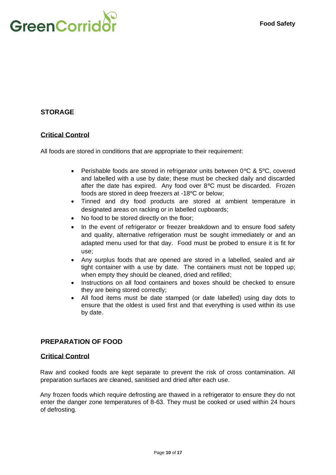

# <span id="page-9-0"></span>**STORAGE**

#### <span id="page-9-1"></span>**Critical Control**

All foods are stored in conditions that are appropriate to their requirement:

- Perishable foods are stored in refrigerator units between 0°C & 5°C, covered and labelled with a use by date; these must be checked daily and discarded after the date has expired. Any food over 8°C must be discarded. Frozen foods are stored in deep freezers at -18°C or below;
- Tinned and dry food products are stored at ambient temperature in designated areas on racking or in labelled cupboards;
- No food to be stored directly on the floor;
- In the event of refrigerator or freezer breakdown and to ensure food safety and quality, alternative refrigeration must be sought immediately or and an adapted menu used for that day. Food must be probed to ensure it is fit for use;
- Any surplus foods that are opened are stored in a labelled, sealed and air tight container with a use by date. The containers must not be topped up; when empty they should be cleaned, dried and refilled;
- Instructions on all food containers and boxes should be checked to ensure they are being stored correctly;
- All food items must be date stamped (or date labelled) using day dots to ensure that the oldest is used first and that everything is used within its use by date.

#### <span id="page-9-2"></span>**PREPARATION OF FOOD**

#### <span id="page-9-3"></span>**Critical Control**

Raw and cooked foods are kept separate to prevent the risk of cross contamination. All preparation surfaces are cleaned, sanitised and dried after each use.

Any frozen foods which require defrosting are thawed in a refrigerator to ensure they do not enter the danger zone temperatures of 8-63. They must be cooked or used within 24 hours of defrosting.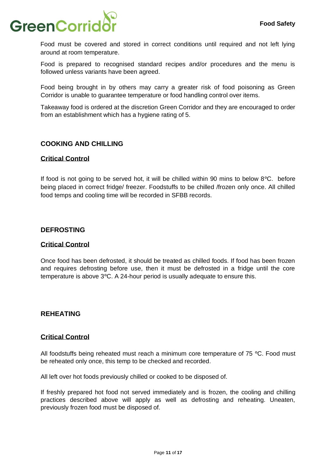# GreenCorrid

Food must be covered and stored in correct conditions until required and not left lying around at room temperature.

Food is prepared to recognised standard recipes and/or procedures and the menu is followed unless variants have been agreed.

Food being brought in by others may carry a greater risk of food poisoning as Green Corridor is unable to guarantee temperature or food handling control over items.

Takeaway food is ordered at the discretion Green Corridor and they are encouraged to order from an establishment which has a hygiene rating of 5.

#### <span id="page-10-0"></span>**COOKING AND CHILLING**

#### <span id="page-10-1"></span>**Critical Control**

If food is not going to be served hot, it will be chilled within 90 mins to below 8°C. before being placed in correct fridge/ freezer. Foodstuffs to be chilled /frozen only once. All chilled food temps and cooling time will be recorded in SFBB records.

#### <span id="page-10-2"></span>**DEFROSTING**

#### <span id="page-10-3"></span>**Critical Control**

Once food has been defrosted, it should be treated as chilled foods. If food has been frozen and requires defrosting before use, then it must be defrosted in a fridge until the core temperature is above 3°C. A 24-hour period is usually adequate to ensure this.

#### <span id="page-10-4"></span>**REHEATING**

#### <span id="page-10-5"></span>**Critical Control**

All foodstuffs being reheated must reach a minimum core temperature of 75 °C. Food must be reheated only once, this temp to be checked and recorded.

All left over hot foods previously chilled or cooked to be disposed of.

If freshly prepared hot food not served immediately and is frozen, the cooling and chilling practices described above will apply as well as defrosting and reheating. Uneaten, previously frozen food must be disposed of.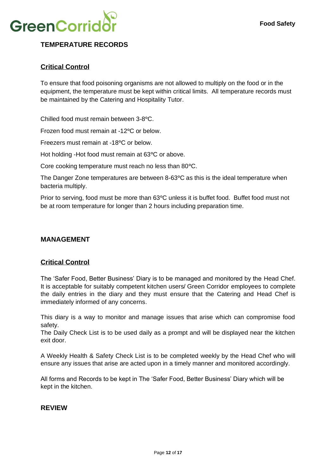

# <span id="page-11-0"></span>**TEMPERATURE RECORDS**

#### <span id="page-11-1"></span>**Critical Control**

To ensure that food poisoning organisms are not allowed to multiply on the food or in the equipment, the temperature must be kept within critical limits. All temperature records must be maintained by the Catering and Hospitality Tutor.

Chilled food must remain between 3-8°C.

Frozen food must remain at -12°C or below.

Freezers must remain at -18°C or below.

Hot holding -Hot food must remain at 63°C or above.

Core cooking temperature must reach no less than 80°C.

The Danger Zone temperatures are between 8-63°C as this is the ideal temperature when bacteria multiply.

Prior to serving, food must be more than 63°C unless it is buffet food. Buffet food must not be at room temperature for longer than 2 hours including preparation time.

#### <span id="page-11-2"></span>**MANAGEMENT**

#### <span id="page-11-3"></span>**Critical Control**

The 'Safer Food, Better Business' Diary is to be managed and monitored by the Head Chef. It is acceptable for suitably competent kitchen users/ Green Corridor employees to complete the daily entries in the diary and they must ensure that the Catering and Head Chef is immediately informed of any concerns.

This diary is a way to monitor and manage issues that arise which can compromise food safety.

The Daily Check List is to be used daily as a prompt and will be displayed near the kitchen exit door.

A Weekly Health & Safety Check List is to be completed weekly by the Head Chef who will ensure any issues that arise are acted upon in a timely manner and monitored accordingly.

All forms and Records to be kept in The 'Safer Food, Better Business' Diary which will be kept in the kitchen.

#### <span id="page-11-4"></span>**REVIEW**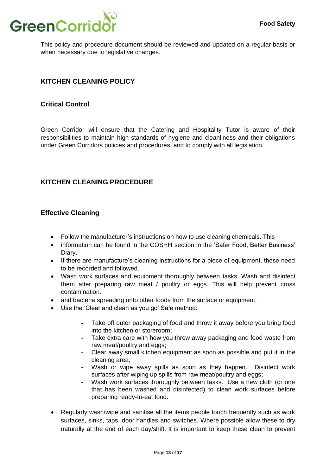

This policy and procedure document should be reviewed and updated on a regular basis or when necessary due to legislative changes.

# <span id="page-12-0"></span>**KITCHEN CLEANING POLICY**

#### <span id="page-12-1"></span>**Critical Control**

Green Corridor will ensure that the Catering and Hospitality Tutor is aware of their responsibilities to maintain high standards of hygiene and cleanliness and their obligations under Green Corridors policies and procedures, and to comply with all legislation.

#### <span id="page-12-2"></span>**KITCHEN CLEANING PROCEDURE**

#### <span id="page-12-3"></span>**Effective Cleaning**

- Follow the manufacturer's instructions on how to use cleaning chemicals. This
- information can be found in the COSHH section in the 'Safer Food, Better Business' Diary.
- If there are manufacture's cleaning instructions for a piece of equipment, these need to be recorded and followed.
- Wash work surfaces and equipment thoroughly between tasks. Wash and disinfect them after preparing raw meat / poultry or eggs. This will help prevent cross contamination.
- and bacteria spreading onto other foods from the surface or equipment.
- Use the 'Clear and clean as you go' Safe method:
	- **-** Take off outer packaging of food and throw it away before you bring food into the kitchen or storeroom;
	- **-** Take extra care with how you throw away packaging and food waste from raw meat/poultry and eggs;
	- **-** Clear away small kitchen equipment as soon as possible and put it in the cleaning area;
	- **-** Wash or wipe away spills as soon as they happen. Disinfect work surfaces after wiping up spills from raw meat/poultry and eggs;
	- **-** Wash work surfaces thoroughly between tasks. Use a new cloth (or one that has been washed and disinfected) to clean work surfaces before preparing ready-to-eat food.
- Regularly wash/wipe and sanitise all the items people touch frequently such as work surfaces, sinks, taps, door handles and switches. Where possible allow these to dry naturally at the end of each day/shift. It is important to keep these clean to prevent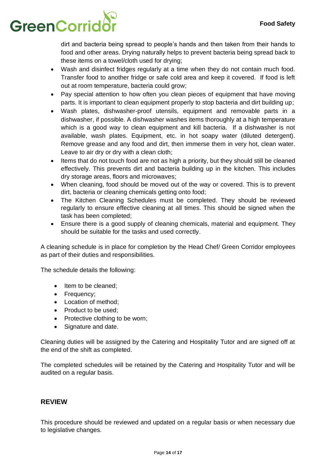# **GreenCorrid**

dirt and bacteria being spread to people's hands and then taken from their hands to food and other areas. Drying naturally helps to prevent bacteria being spread back to these items on a towel/cloth used for drying;

- Wash and disinfect fridges regularly at a time when they do not contain much food. Transfer food to another fridge or safe cold area and keep it covered. If food is left out at room temperature, bacteria could grow;
- Pay special attention to how often you clean pieces of equipment that have moving parts. It is important to clean equipment properly to stop bacteria and dirt building up;
- Wash plates, dishwasher-proof utensils, equipment and removable parts in a dishwasher, if possible. A dishwasher washes items thoroughly at a high temperature which is a good way to clean equipment and kill bacteria. If a dishwasher is not available, wash plates. Equipment, etc. in hot soapy water (diluted detergent). Remove grease and any food and dirt, then immerse them in very hot, clean water. Leave to air dry or dry with a clean cloth;
- Items that do not touch food are not as high a priority, but they should still be cleaned effectively. This prevents dirt and bacteria building up in the kitchen. This includes dry storage areas, floors and microwaves;
- When cleaning, food should be moved out of the way or covered. This is to prevent dirt, bacteria or cleaning chemicals getting onto food;
- The Kitchen Cleaning Schedules must be completed. They should be reviewed regularly to ensure effective cleaning at all times. This should be signed when the task has been completed;
- Ensure there is a good supply of cleaning chemicals, material and equipment. They should be suitable for the tasks and used correctly.

A cleaning schedule is in place for completion by the Head Chef/ Green Corridor employees as part of their duties and responsibilities.

The schedule details the following:

- Item to be cleaned;
- Frequency;
- Location of method;
- Product to be used;
- Protective clothing to be worn;
- Signature and date.

Cleaning duties will be assigned by the Catering and Hospitality Tutor and are signed off at the end of the shift as completed.

The completed schedules will be retained by the Catering and Hospitality Tutor and will be audited on a regular basis.

#### <span id="page-13-0"></span>**REVIEW**

This procedure should be reviewed and updated on a regular basis or when necessary due to legislative changes.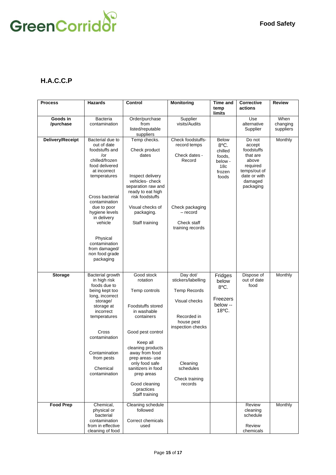

# <span id="page-14-0"></span>**H.A.C.C.P**

| <b>Process</b>        | <b>Hazards</b>                                                                                                                                                                                                                     | Control                                                                                                                                                                                                                                                                                   | <b>Monitoring</b>                                                                                                                                                              | Time and                                                                                   | <b>Corrective</b>                                                                                                       | <b>Review</b>                 |
|-----------------------|------------------------------------------------------------------------------------------------------------------------------------------------------------------------------------------------------------------------------------|-------------------------------------------------------------------------------------------------------------------------------------------------------------------------------------------------------------------------------------------------------------------------------------------|--------------------------------------------------------------------------------------------------------------------------------------------------------------------------------|--------------------------------------------------------------------------------------------|-------------------------------------------------------------------------------------------------------------------------|-------------------------------|
|                       |                                                                                                                                                                                                                                    |                                                                                                                                                                                                                                                                                           |                                                                                                                                                                                | temp<br>limits                                                                             | actions                                                                                                                 |                               |
| Goods in<br>/purchase | Bacteria<br>contamination                                                                                                                                                                                                          | Order/purchase<br>from<br>listed/reputable<br>suppliers                                                                                                                                                                                                                                   | Supplier<br>visits/Audits                                                                                                                                                      |                                                                                            | Use<br>alternative<br>Supplier                                                                                          | When<br>changing<br>suppliers |
| Delivery/Receipt      | Bacterial due to<br>out of date<br>foodstuffs and<br>/or<br>chilled/frozen<br>food delivered<br>at incorrect<br>temperatures<br>Cross bacterial<br>contamination<br>due to poor<br>hygiene levels                                  | Temp checks.<br>Check product<br>dates<br>Inspect delivery<br>vehicles-check<br>separation raw and<br>ready to eat high<br>risk foodstuffs<br>Visual checks of<br>packaging.                                                                                                              | Check foodstuffs-<br>record temps<br>Check dates -<br>Record<br>Check packaging<br>- record                                                                                    | <b>Below</b><br>8°C.<br>chilled<br>foods,<br>below -<br>18 <sub>c</sub><br>frozen<br>foods | Do not<br>accept<br>foodstuffs<br>that are<br>above<br>required<br>temps/out of<br>date or with<br>damaged<br>packaging | Monthly                       |
|                       | in delivery<br>vehicle<br>Physical<br>contamination<br>from damaged/<br>non food grade<br>packaging                                                                                                                                | Staff training                                                                                                                                                                                                                                                                            | Check staff<br>training records                                                                                                                                                |                                                                                            |                                                                                                                         |                               |
| <b>Storage</b>        | Bacterial growth<br>in high risk<br>foods due to<br>being kept too<br>long, incorrect<br>storage/<br>storage at<br>incorrect<br>temperatures<br>Cross<br>contamination<br>Contamination<br>from pests<br>Chemical<br>contamination | Good stock<br>rotation<br>Temp controls<br>Foodstuffs stored<br>in washable<br>containers<br>Good pest control<br>Keep all<br>cleaning products<br>away from food<br>prep areas-use<br>only food safe<br>sanitizers in food<br>prep areas<br>Good cleaning<br>practices<br>Staff training | Day dot/<br>stickers/labelling<br><b>Temp Records</b><br>Visual checks<br>Recorded in<br>house pest<br>inspection checks<br>Cleaning<br>schedules<br>Check training<br>records | Fridges<br>below<br>8°C.<br>Freezers<br>below --<br>18°C.                                  | Dispose of<br>out of date<br>food                                                                                       | Monthly                       |
| <b>Food Prep</b>      | Chemical,<br>physical or<br>bacterial<br>contamination<br>from in effective<br>cleaning of food                                                                                                                                    | Cleaning schedule<br>followed<br>Correct chemicals<br>used                                                                                                                                                                                                                                |                                                                                                                                                                                |                                                                                            | Review<br>cleaning<br>schedule<br>Review<br>chemicals                                                                   | Monthly                       |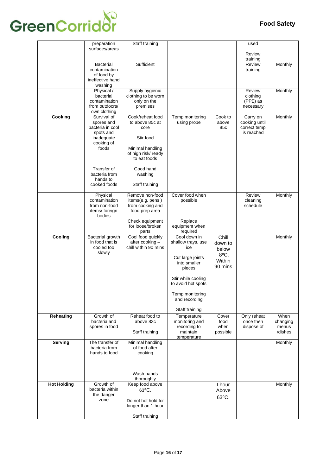# **GreenCorridor**

|                    | preparation                                                                                                                                                 | Staff training                                                                                                                                                |                                                                                                                                                                                           |                                                        | used                                                    |                                      |
|--------------------|-------------------------------------------------------------------------------------------------------------------------------------------------------------|---------------------------------------------------------------------------------------------------------------------------------------------------------------|-------------------------------------------------------------------------------------------------------------------------------------------------------------------------------------------|--------------------------------------------------------|---------------------------------------------------------|--------------------------------------|
|                    | surfaces/areas                                                                                                                                              |                                                                                                                                                               |                                                                                                                                                                                           |                                                        | Review<br>training                                      |                                      |
|                    | <b>Bacterial</b><br>contamination<br>of food by<br>ineffective hand<br>washing                                                                              | Sufficient                                                                                                                                                    |                                                                                                                                                                                           |                                                        | Review<br>training                                      | Monthly                              |
|                    | Physical /<br>bacterial<br>contamination<br>from outdoors/<br>own clothing                                                                                  | Supply hygienic<br>clothing to be worn<br>only on the<br>premises                                                                                             |                                                                                                                                                                                           |                                                        | Review<br>clothing<br>(PPE) as<br>necessary             | Monthly                              |
| Cooking            | Survival of<br>spores and<br>bacteria in cool<br>spots and<br>inadequate<br>cooking of<br>foods<br>Transfer of<br>bacteria from<br>hands to<br>cooked foods | Cook/reheat food<br>to above 85c at<br>core<br>Stir food<br>Minimal handling<br>of high risk/ ready<br>to eat foods<br>Good hand<br>washing<br>Staff training | Temp monitoring<br>using probe                                                                                                                                                            | Cook to<br>above<br>85c                                | Carry on<br>cooking until<br>correct temp<br>is reached | Monthly                              |
|                    | Physical<br>contamination<br>from non-food<br>items/foreign<br>bodies                                                                                       | Remove non-food<br>items(e.g. pens)<br>from cooking and<br>food prep area<br>Check equipment<br>for loose/broken                                              | Cover food when<br>possible<br>Replace<br>equipment when                                                                                                                                  |                                                        | Review<br>cleaning<br>schedule                          | Monthly                              |
|                    |                                                                                                                                                             | parts                                                                                                                                                         | required                                                                                                                                                                                  |                                                        |                                                         |                                      |
| Cooling            | Bacterial growth<br>in food that is<br>cooled too<br>slowly                                                                                                 | Cool food quickly<br>after cooking -<br>chill within 90 mins                                                                                                  | Cool down in<br>shallow trays, use<br>ice<br>Cut large joints<br>into smaller<br>pieces<br>Stir while cooling<br>to avoid hot spots<br>Temp monitoring<br>and recording<br>Staff training | Chill<br>down to<br>below<br>8°C.<br>Within<br>90 mins |                                                         | Monthly                              |
| Reheating          | Growth of<br>bacteria and<br>spores in food                                                                                                                 | Reheat food to<br>above 83c<br>Staff training                                                                                                                 | Temperature<br>monitoring and<br>recording to<br>maintain<br>temperature                                                                                                                  | Cover<br>food<br>when<br>possible                      | Only reheat<br>once then<br>dispose of                  | When<br>changing<br>menus<br>/dishes |
| Serving            | The transfer of<br>bacteria from<br>hands to food                                                                                                           | Minimal handling<br>of food after<br>cooking<br>Wash hands                                                                                                    |                                                                                                                                                                                           |                                                        |                                                         | Monthly                              |
| <b>Hot Holding</b> | Growth of<br>bacteria within<br>the danger<br>zone                                                                                                          | thoroughly<br>Keep food above<br>$63^{\circ}$ C.<br>Do not hot hold for<br>longer than 1 hour<br>Staff training                                               |                                                                                                                                                                                           | I hour<br>Above<br>63°C.                               |                                                         | Monthly                              |